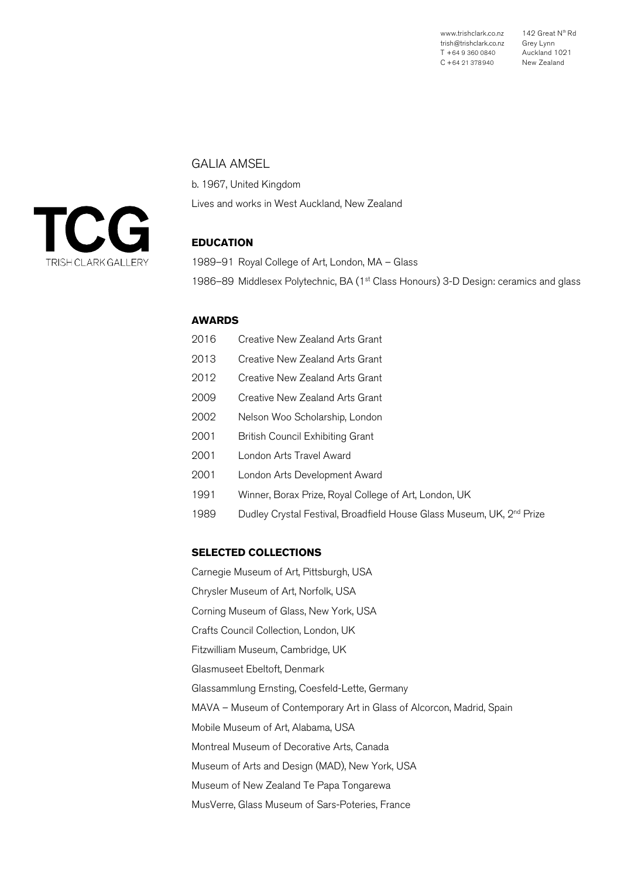www.trishclark.co.nz trish@trishclark.co.nz T +64 9 360 0840 C +64 21 378940 142 Great Nth Rd Grey Lynn Auckland 1021 New Zealand

## GALIA AMSEL

b. 1967, United Kingdom Lives and works in West Auckland, New Zealand

# **EDUCATION**

1989–91 Royal College of Art, London, MA – Glass 1986–89 Middlesex Polytechnic, BA (1<sup>st</sup> Class Honours) 3-D Design: ceramics and glass

# **AWARDS**

- 2016 Creative New Zealand Arts Grant
- 2013 Creative New Zealand Arts Grant
- 2012 Creative New Zealand Arts Grant
- 2009 Creative New Zealand Arts Grant
- 2002 Nelson Woo Scholarship, London
- 2001 British Council Exhibiting Grant
- 2001 London Arts Travel Award
- 2001 London Arts Development Award
- 1991 Winner, Borax Prize, Royal College of Art, London, UK
- 1989 Dudley Crystal Festival, Broadfield House Glass Museum, UK, 2<sup>nd</sup> Prize

#### **SELECTED COLLECTIONS**

Carnegie Museum of Art, Pittsburgh, USA Chrysler Museum of Art, Norfolk, USA Corning Museum of Glass, New York, USA Crafts Council Collection, London, UK Fitzwilliam Museum, Cambridge, UK Glasmuseet Ebeltoft, Denmark Glassammlung Ernsting, Coesfeld-Lette, Germany MAVA – Museum of Contemporary Art in Glass of Alcorcon, Madrid, Spain Mobile Museum of Art, Alabama, USA Montreal Museum of Decorative Arts, Canada Museum of Arts and Design (MAD), New York, USA Museum of New Zealand Te Papa Tongarewa MusVerre, Glass Museum of Sars-Poteries, France

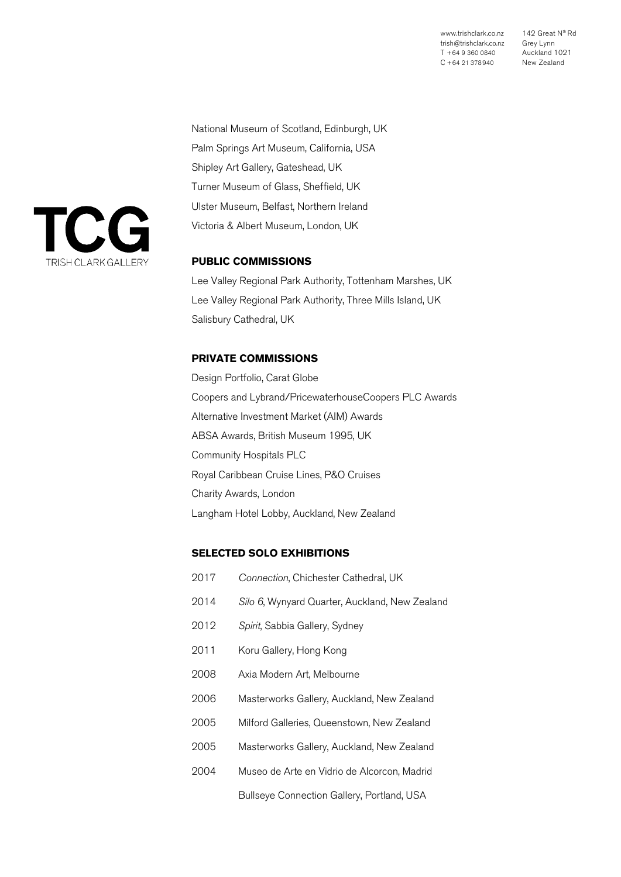www.trishclark.co.nz trish@trishclark.co.nz T +64 9 360 0840 C +64 21 378940

142 Great N<sup>th</sup> Rd Grey Lynn Auckland 1021 New Zealand

National Museum of Scotland, Edinburgh, UK Palm Springs Art Museum, California, USA Shipley Art Gallery, Gateshead, UK Turner Museum of Glass, Sheffield, UK Ulster Museum, Belfast, Northern Ireland Victoria & Albert Museum, London, UK

# **PUBLIC COMMISSIONS**

Lee Valley Regional Park Authority, Tottenham Marshes, UK Lee Valley Regional Park Authority, Three Mills Island, UK Salisbury Cathedral, UK

### **PRIVATE COMMISSIONS**

Design Portfolio, Carat Globe Coopers and Lybrand/PricewaterhouseCoopers PLC Awards Alternative Investment Market (AIM) Awards ABSA Awards, British Museum 1995, UK Community Hospitals PLC Royal Caribbean Cruise Lines, P&O Cruises Charity Awards, London Langham Hotel Lobby, Auckland, New Zealand

## **SELECTED SOLO EXHIBITIONS**

| 2017 | Connection, Chichester Cathedral, UK           |
|------|------------------------------------------------|
| 2014 | Silo 6, Wynyard Quarter, Auckland, New Zealand |
| 2012 | Spirit, Sabbia Gallery, Sydney                 |
| 2011 | Koru Gallery, Hong Kong                        |
| 2008 | Axia Modern Art, Melbourne                     |
| 2006 | Masterworks Gallery, Auckland, New Zealand     |
| 2005 | Milford Galleries, Queenstown, New Zealand     |
| 2005 | Masterworks Gallery, Auckland, New Zealand     |
| 2004 | Museo de Arte en Vidrio de Alcorcon, Madrid    |
|      | Bullseye Connection Gallery, Portland, USA     |

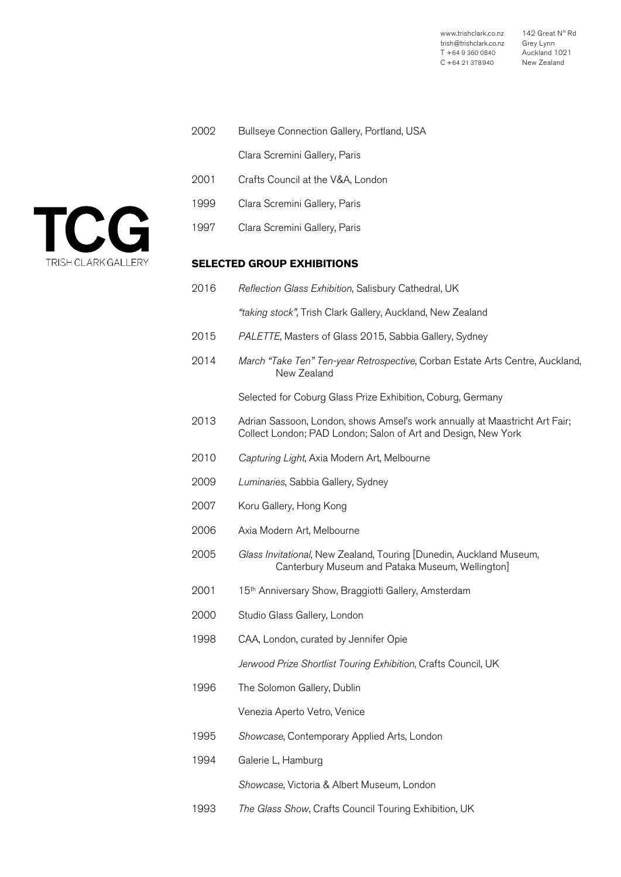| www.trishclark.co.nz   | 142 Great N <sup>th</sup> Rd |
|------------------------|------------------------------|
| trish@trishclark.co.nz | Grey Lynn                    |
| T +64 9 360 0840       | Auckland 1091                |
| $C + 64$ 21 378940     | New Zealand                  |

| 2002 | Bullseye Connection Gallery, Portland, USA                                                                                                   |
|------|----------------------------------------------------------------------------------------------------------------------------------------------|
|      | Clara Scremini Gallery, Paris                                                                                                                |
| 2001 | Crafts Council at the V&A, London                                                                                                            |
| 1999 | Clara Scremini Gallery, Paris                                                                                                                |
| 1997 | Clara Scremini Gallery, Paris                                                                                                                |
|      | <b>SELECTED GROUP EXHIBITIONS</b>                                                                                                            |
| 2016 | Reflection Glass Exhibition, Salisbury Cathedral, UK                                                                                         |
|      | "taking stock", Trish Clark Gallery, Auckland, New Zealand                                                                                   |
| 2015 | PALETTE, Masters of Glass 2015, Sabbia Gallery, Sydney                                                                                       |
| 2014 | March "Take Ten" Ten-year Retrospective, Corban Estate Arts Centre, Auckland,<br>New Zealand                                                 |
|      | Selected for Coburg Glass Prize Exhibition, Coburg, Germany                                                                                  |
| 2013 | Adrian Sassoon, London, shows Amsel's work annually at Maastricht Art Fair;<br>Collect London; PAD London; Salon of Art and Design, New York |
| 2010 | Capturing Light, Axia Modern Art, Melbourne                                                                                                  |
| 2009 | Luminaries, Sabbia Gallery, Sydney                                                                                                           |
| 2007 | Koru Gallery, Hong Kong                                                                                                                      |
| 2006 | Axia Modern Art, Melbourne                                                                                                                   |
| 2005 | Glass Invitational, New Zealand, Touring [Dunedin, Auckland Museum,<br>Canterbury Museum and Pataka Museum, Wellington]                      |
| 2001 | 15 <sup>th</sup> Anniversary Show, Braggiotti Gallery, Amsterdam                                                                             |
| 2000 | Studio Glass Gallery, London                                                                                                                 |
| 1998 | CAA, London, curated by Jennifer Opie                                                                                                        |
|      | Jerwood Prize Shortlist Touring Exhibition, Crafts Council, UK                                                                               |
| 1996 | The Solomon Gallery, Dublin                                                                                                                  |
|      | Venezia Aperto Vetro, Venice                                                                                                                 |
| 1995 | Showcase, Contemporary Applied Arts, London                                                                                                  |
| 1994 | Galerie L, Hamburg                                                                                                                           |
|      | Showcase, Victoria & Albert Museum, London                                                                                                   |
|      |                                                                                                                                              |

1993 *The Glass Show*, Crafts Council Touring Exhibition, UK